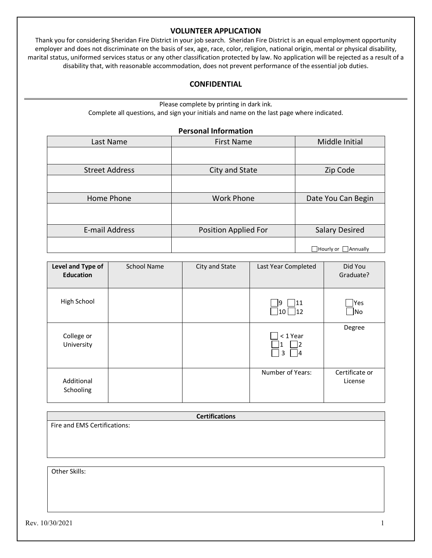#### **VOLUNTEER APPLICATION**

Thank you for considering Sheridan Fire District in your job search. Sheridan Fire District is an equal employment opportunity employer and does not discriminate on the basis of sex, age, race, color, religion, national origin, mental or physical disability, marital status, uniformed services status or any other classification protected by law. No application will be rejected as a result of a disability that, with reasonable accommodation, does not prevent performance of the essential job duties.

#### **CONFIDENTIAL**

Please complete by printing in dark ink. Complete all questions, and sign your initials and name on the last page where indicated.

#### **Personal Information**

| Last Name             | <b>First Name</b>    | Middle Initial                   |
|-----------------------|----------------------|----------------------------------|
|                       |                      |                                  |
| <b>Street Address</b> | City and State       | Zip Code                         |
|                       |                      |                                  |
| Home Phone            | <b>Work Phone</b>    | Date You Can Begin               |
|                       |                      |                                  |
| E-mail Address        | Position Applied For | <b>Salary Desired</b>            |
|                       |                      | $\Box$ Hourly or $\Box$ Annually |

| Level and Type of<br><b>Education</b> | <b>School Name</b> | City and State | Last Year Completed      | Did You<br>Graduate?      |
|---------------------------------------|--------------------|----------------|--------------------------|---------------------------|
| High School                           |                    |                | 11<br>19<br> 10  <br> 12 | <b>IYes</b><br> No        |
| College or<br>University              |                    |                | < 1 Year<br>3<br>14      | Degree                    |
| Additional<br>Schooling               |                    |                | Number of Years:         | Certificate or<br>License |

| <b>Certifications</b>        |
|------------------------------|
| Fire and EMS Certifications: |
|                              |
|                              |
|                              |
|                              |
| Other Skills:                |
|                              |
|                              |
|                              |
|                              |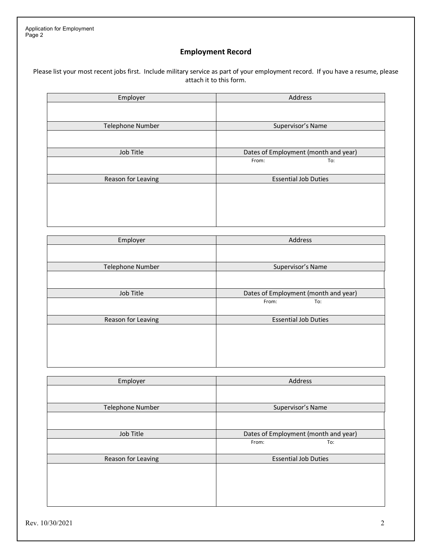# **Employment Record**

Please list your most recent jobs first. Include military service as part of your employment record. If you have a resume, please attach it to this form.

| Employer           | Address                              |
|--------------------|--------------------------------------|
|                    |                                      |
|                    |                                      |
| Telephone Number   | Supervisor's Name                    |
|                    |                                      |
|                    |                                      |
| Job Title          | Dates of Employment (month and year) |
|                    | From:<br>To:                         |
|                    |                                      |
| Reason for Leaving | <b>Essential Job Duties</b>          |
|                    |                                      |
|                    |                                      |
|                    |                                      |
|                    |                                      |
|                    |                                      |

| Employer                | Address                              |
|-------------------------|--------------------------------------|
|                         |                                      |
| <b>Telephone Number</b> | Supervisor's Name                    |
|                         |                                      |
| Job Title               | Dates of Employment (month and year) |
|                         | To:<br>From:                         |
| Reason for Leaving      | <b>Essential Job Duties</b>          |
|                         |                                      |

| Employer           | Address                              |
|--------------------|--------------------------------------|
|                    |                                      |
| Telephone Number   | Supervisor's Name                    |
|                    |                                      |
| Job Title          | Dates of Employment (month and year) |
|                    | From:<br>To:                         |
| Reason for Leaving | <b>Essential Job Duties</b>          |
|                    |                                      |
|                    |                                      |
|                    |                                      |
|                    |                                      |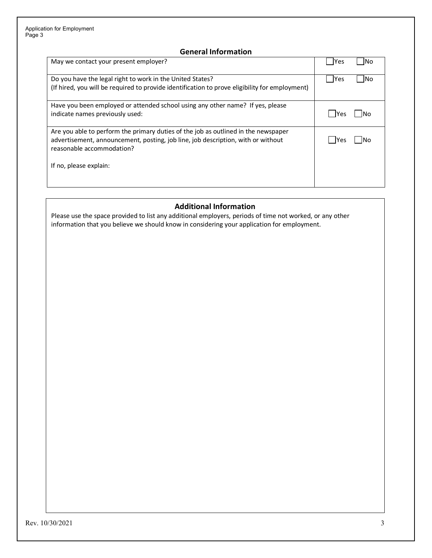## **General Information**

| May we contact your present employer?                                                                                                                                                               | lYes        |     |
|-----------------------------------------------------------------------------------------------------------------------------------------------------------------------------------------------------|-------------|-----|
| Do you have the legal right to work in the United States?                                                                                                                                           | <b>IYes</b> | lNo |
| (If hired, you will be required to provide identification to prove eligibility for employment)                                                                                                      |             |     |
| Have you been employed or attended school using any other name? If yes, please<br>indicate names previously used:                                                                                   | -lYes       |     |
| Are you able to perform the primary duties of the job as outlined in the newspaper<br>advertisement, announcement, posting, job line, job description, with or without<br>reasonable accommodation? | Yes         |     |
| If no, please explain:                                                                                                                                                                              |             |     |

### **Additional Information**

Please use the space provided to list any additional employers, periods of time not worked, or any other information that you believe we should know in considering your application for employment.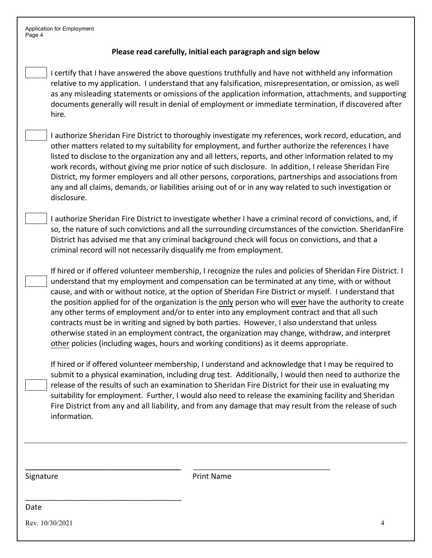| <b>Application for Employment</b> |  |
|-----------------------------------|--|
| Page 4                            |  |

### **Please read carefully, initial each paragraph and sign below**

I certify that I have answered the above questions truthfully and have not withheld any information relative to my application. I understand that any falsification, misrepresentation, or omission, as well as any misleading statements or omissions of the application information, attachments, and supporting documents generally will result in denial of employment or immediate termination, if discovered after hire.

I authorize Sheridan Fire District to thoroughly investigate my references, work record, education, and other matters related to my suitability for employment, and further authorize the references I have listed to disclose to the organization any and all letters, reports, and other information related to my work records, without giving me prior notice of such disclosure. In addition, I release Sheridan Fire District, my former employers and all other persons, corporations, partnerships and associations from any and all claims, demands, or liabilities arising out of or in any way related to such investigation or disclosure.

I authorize Sheridan Fire District to investigate whether I have a criminal record of convictions, and, if so, the nature of such convictions and all the surrounding circumstances of the conviction. SheridanFire District has advised me that any criminal background check will focus on convictions, and that a criminal record will not necessarily disqualify me from employment.

If hired or if offered volunteer membership, I recognize the rules and policies of Sheridan Fire District. I understand that my employment and compensation can be terminated at any time, with or without cause, and with or without notice, at the option of Sheridan Fire District or myself. I understand that the position applied for of the organization is the only person who will ever have the authority to create any other terms of employment and/or to enter into any employment contract and that all such contracts must be in writing and signed by both parties. However, I also understand that unless otherwise stated in an employment contract, the organization may change, withdraw, and interpret other policies (including wages, hours and working conditions) as it deems appropriate.

If hired or if offered volunteer membership, I understand and acknowledge that I may be required to submit to a physical examination, including drug test. Additionally, I would then need to authorize the release of the results of such an examination to Sheridan Fire District for their use in evaluating my suitability for employment. Further, I would also need to release the examining facility and Sheridan Fire District from any and all liability, and from any damage that may result from the release of such information.

Signature **Print Name** 

\_\_\_\_\_\_\_\_\_\_\_\_\_\_\_\_\_\_\_\_\_\_\_\_\_\_\_\_\_\_\_\_\_\_\_\_\_\_\_\_\_\_\_\_ \_\_\_\_\_\_\_\_\_\_\_\_\_\_\_\_\_\_\_\_\_\_\_\_\_\_\_\_\_\_\_\_\_\_\_\_\_\_\_

Date

Rev. 10/30/2021

\_\_\_\_\_\_\_\_\_\_\_\_\_\_\_\_\_\_\_\_\_\_\_\_\_\_\_\_\_\_\_\_\_\_\_\_\_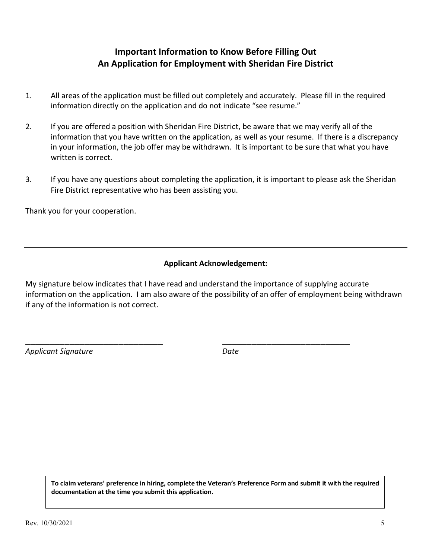# **Important Information to Know Before Filling Out An Application for Employment with Sheridan Fire District**

- 1. All areas of the application must be filled out completely and accurately. Please fill in the required information directly on the application and do not indicate "see resume."
- 2. If you are offered a position with Sheridan Fire District, be aware that we may verify all of the information that you have written on the application, as well as your resume. If there is a discrepancy in your information, the job offer may be withdrawn. It is important to be sure that what you have written is correct.
- 3. If you have any questions about completing the application, it is important to please ask the Sheridan Fire District representative who has been assisting you.

Thank you for your cooperation.

## **Applicant Acknowledgement:**

My signature below indicates that I have read and understand the importance of supplying accurate information on the application. I am also aware of the possibility of an offer of employment being withdrawn if any of the information is not correct.

\_\_\_\_\_\_\_\_\_\_\_\_\_\_\_\_\_\_\_\_\_\_\_\_\_\_\_\_ \_\_\_\_\_\_\_\_\_\_\_\_\_\_\_\_\_\_\_\_\_\_\_\_\_\_

*Applicant Signature Date* 

**To claim veterans' preference in hiring, complete the Veteran's Preference Form and submit it with the required documentation at the time you submit this application.**